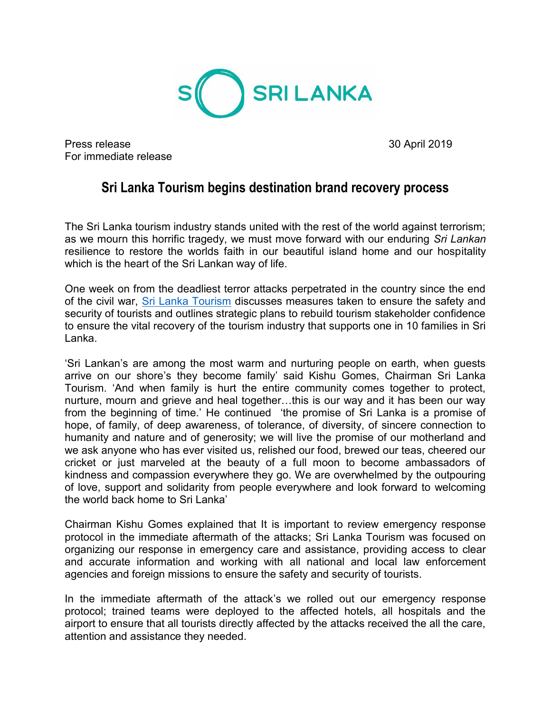

Press release 30 April 2019 For immediate release

## **Sri Lanka Tourism begins destination brand recovery process**

The Sri Lanka tourism industry stands united with the rest of the world against terrorism; as we mourn this horrific tragedy, we must move forward with our enduring *Sri Lankan* resilience to restore the worlds faith in our beautiful island home and our hospitality which is the heart of the Sri Lankan way of life.

One week on from the deadliest terror attacks perpetrated in the country since the end of the civil war, [Sri Lanka Tourism](http://www.srilanka.travel/) discusses measures taken to ensure the safety and security of tourists and outlines strategic plans to rebuild tourism stakeholder confidence to ensure the vital recovery of the tourism industry that supports one in 10 families in Sri Lanka.

'Sri Lankan's are among the most warm and nurturing people on earth, when guests arrive on our shore's they become family' said Kishu Gomes, Chairman Sri Lanka Tourism. 'And when family is hurt the entire community comes together to protect, nurture, mourn and grieve and heal together…this is our way and it has been our way from the beginning of time.' He continued 'the promise of Sri Lanka is a promise of hope, of family, of deep awareness, of tolerance, of diversity, of sincere connection to humanity and nature and of generosity; we will live the promise of our motherland and we ask anyone who has ever visited us, relished our food, brewed our teas, cheered our cricket or just marveled at the beauty of a full moon to become ambassadors of kindness and compassion everywhere they go. We are overwhelmed by the outpouring of love, support and solidarity from people everywhere and look forward to welcoming the world back home to Sri Lanka'

Chairman Kishu Gomes explained that It is important to review emergency response protocol in the immediate aftermath of the attacks; Sri Lanka Tourism was focused on organizing our response in emergency care and assistance, providing access to clear and accurate information and working with all national and local law enforcement agencies and foreign missions to ensure the safety and security of tourists.

In the immediate aftermath of the attack's we rolled out our emergency response protocol; trained teams were deployed to the affected hotels, all hospitals and the airport to ensure that all tourists directly affected by the attacks received the all the care, attention and assistance they needed.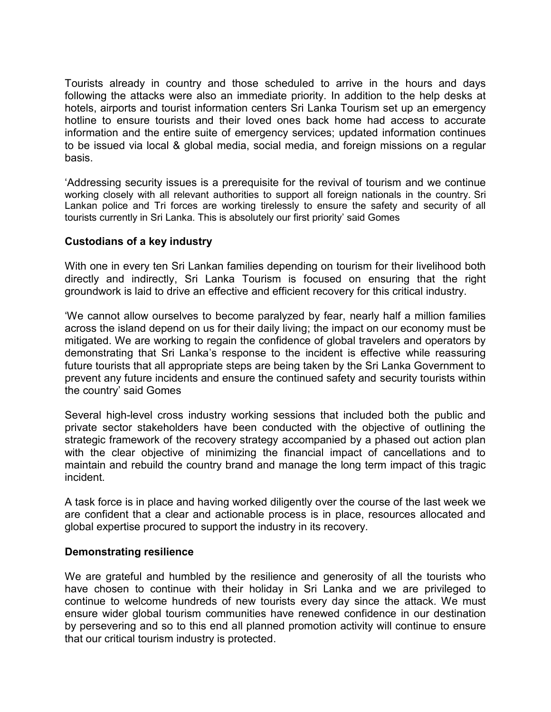Tourists already in country and those scheduled to arrive in the hours and days following the attacks were also an immediate priority. In addition to the help desks at hotels, airports and tourist information centers Sri Lanka Tourism set up an emergency hotline to ensure tourists and their loved ones back home had access to accurate information and the entire suite of emergency services; updated information continues to be issued via local & global media, social media, and foreign missions on a regular basis.

'Addressing security issues is a prerequisite for the revival of tourism and we continue working closely with all relevant authorities to support all foreign nationals in the country. Sri Lankan police and Tri forces are working tirelessly to ensure the safety and security of all tourists currently in Sri Lanka. This is absolutely our first priority' said Gomes

## **Custodians of a key industry**

With one in every ten Sri Lankan families depending on tourism for their livelihood both directly and indirectly, Sri Lanka Tourism is focused on ensuring that the right groundwork is laid to drive an effective and efficient recovery for this critical industry.

'We cannot allow ourselves to become paralyzed by fear, nearly half a million families across the island depend on us for their daily living; the impact on our economy must be mitigated. We are working to regain the confidence of global travelers and operators by demonstrating that Sri Lanka's response to the incident is effective while reassuring future tourists that all appropriate steps are being taken by the Sri Lanka Government to prevent any future incidents and ensure the continued safety and security tourists within the country' said Gomes

Several high-level cross industry working sessions that included both the public and private sector stakeholders have been conducted with the objective of outlining the strategic framework of the recovery strategy accompanied by a phased out action plan with the clear objective of minimizing the financial impact of cancellations and to maintain and rebuild the country brand and manage the long term impact of this tragic incident.

A task force is in place and having worked diligently over the course of the last week we are confident that a clear and actionable process is in place, resources allocated and global expertise procured to support the industry in its recovery.

## **Demonstrating resilience**

We are grateful and humbled by the resilience and generosity of all the tourists who have chosen to continue with their holiday in Sri Lanka and we are privileged to continue to welcome hundreds of new tourists every day since the attack. We must ensure wider global tourism communities have renewed confidence in our destination by persevering and so to this end all planned promotion activity will continue to ensure that our critical tourism industry is protected.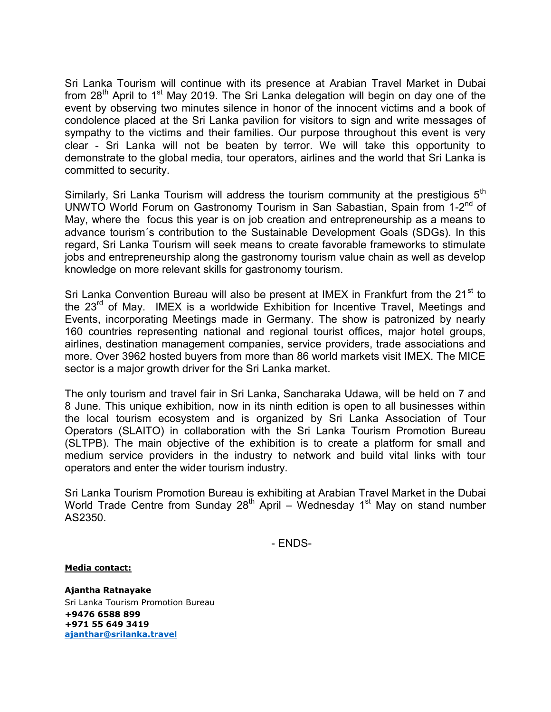Sri Lanka Tourism will continue with its presence at Arabian Travel Market in Dubai from  $28<sup>th</sup>$  April to 1<sup>st</sup> May 2019. The Sri Lanka delegation will begin on day one of the event by observing two minutes silence in honor of the innocent victims and a book of condolence placed at the Sri Lanka pavilion for visitors to sign and write messages of sympathy to the victims and their families. Our purpose throughout this event is very clear - Sri Lanka will not be beaten by terror. We will take this opportunity to demonstrate to the global media, tour operators, airlines and the world that Sri Lanka is committed to security.

Similarly, Sri Lanka Tourism will address the tourism community at the prestigious  $5<sup>th</sup>$ UNWTO World Forum on Gastronomy Tourism in San Sabastian, Spain from 1-2<sup>nd</sup> of May, where the focus this year is on job creation and entrepreneurship as a means to advance tourism´s contribution to the Sustainable Development Goals (SDGs). In this regard, Sri Lanka Tourism will seek means to create favorable frameworks to stimulate jobs and entrepreneurship along the gastronomy tourism value chain as well as develop knowledge on more relevant skills for gastronomy tourism.

Sri Lanka Convention Bureau will also be present at IMEX in Frankfurt from the 21<sup>st</sup> to the  $23<sup>rd</sup>$  of May. IMEX is a worldwide Exhibition for Incentive Travel, Meetings and Events, incorporating Meetings made in Germany. The show is patronized by nearly 160 countries representing national and regional tourist offices, major hotel groups, airlines, destination management companies, service providers, trade associations and more. Over 3962 hosted buyers from more than 86 world markets visit IMEX. The MICE sector is a major growth driver for the Sri Lanka market.

The only tourism and travel fair in Sri Lanka, Sancharaka Udawa, will be held on 7 and 8 June. This unique exhibition, now in its ninth edition is open to all businesses within the local tourism ecosystem and is organized by Sri Lanka Association of Tour Operators (SLAITO) in collaboration with the Sri Lanka Tourism Promotion Bureau (SLTPB). The main objective of the exhibition is to create a platform for small and medium service providers in the industry to network and build vital links with tour operators and enter the wider tourism industry.

Sri Lanka Tourism Promotion Bureau is exhibiting at Arabian Travel Market in the Dubai World Trade Centre from Sunday 28<sup>th</sup> April – Wednesday 1<sup>st</sup> May on stand number AS2350.

- ENDS-

## **Media contact:**

**Ajantha Ratnayake** Sri Lanka Tourism Promotion Bureau **+9476 6588 899 +971 55 649 3419 [ajanthar@srilanka.travel](mailto:ajanthar@srilanka.travel)**